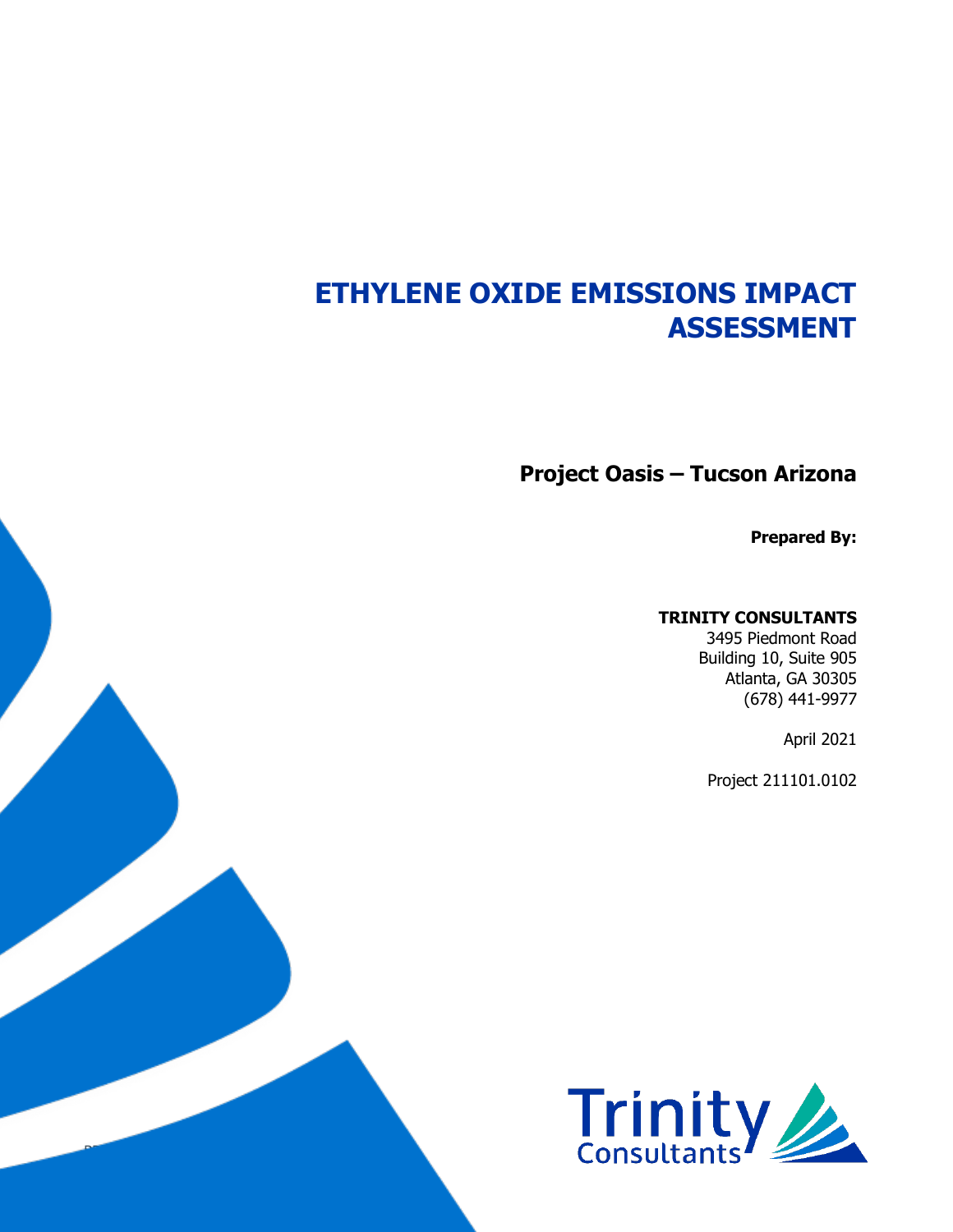# **ETHYLENE OXIDE EMISSIONS IMPACT ASSESSMENT**

**Project Oasis – Tucson Arizona**

**Prepared By:**

#### **TRINITY CONSULTANTS**

3495 Piedmont Road Building 10, Suite 905 Atlanta, GA 30305 (678) 441-9977

April 2021

Project 211101.0102



BD / Ethylene Oxide Emissions Impact Assessment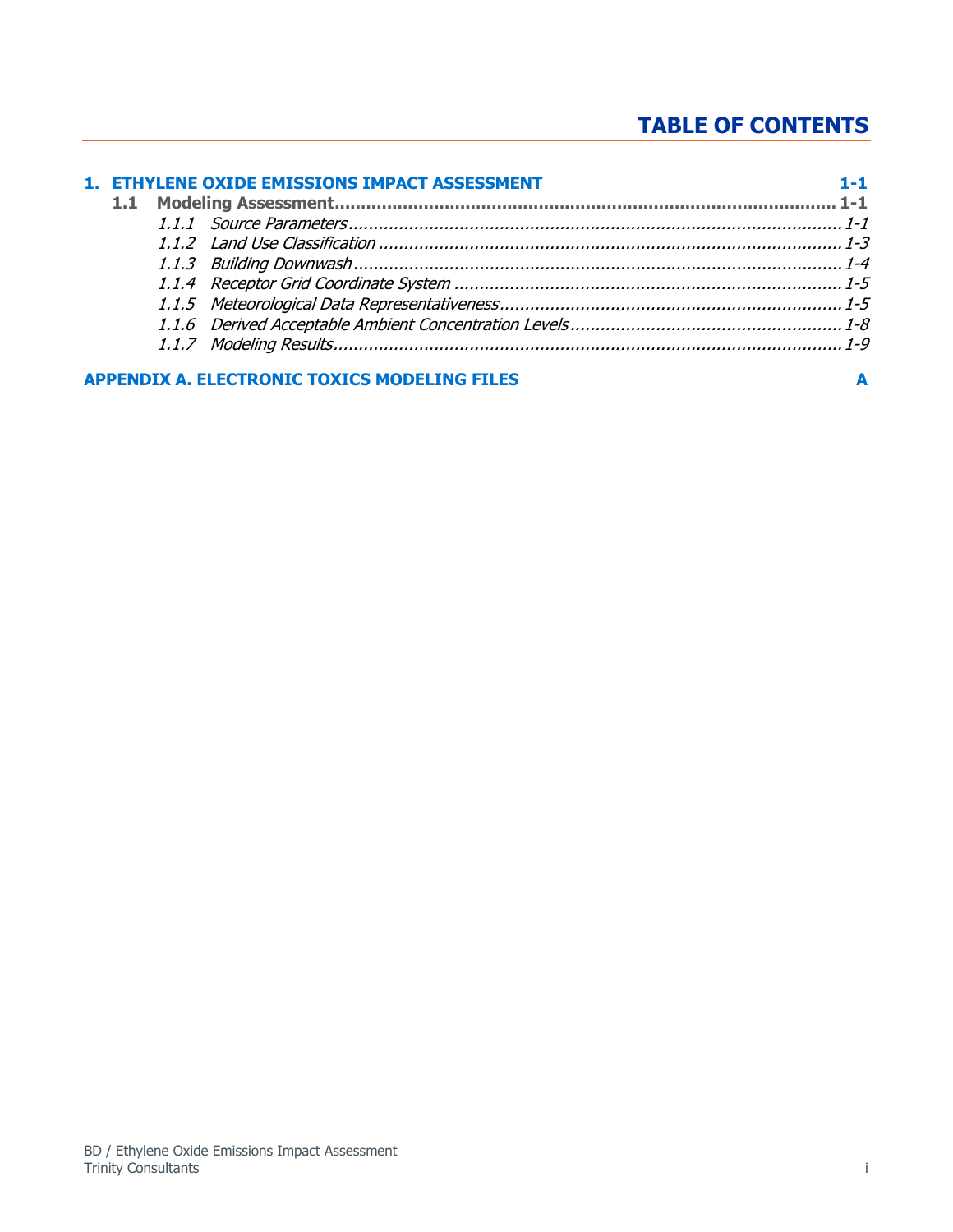## **TABLE OF CONTENTS**

|  | 1. ETHYLENE OXIDE EMISSIONS IMPACT ASSESSMENT       |  |
|--|-----------------------------------------------------|--|
|  |                                                     |  |
|  |                                                     |  |
|  |                                                     |  |
|  |                                                     |  |
|  |                                                     |  |
|  |                                                     |  |
|  |                                                     |  |
|  |                                                     |  |
|  | <b>APPENDIX A. ELECTRONIC TOXICS MODELING FILES</b> |  |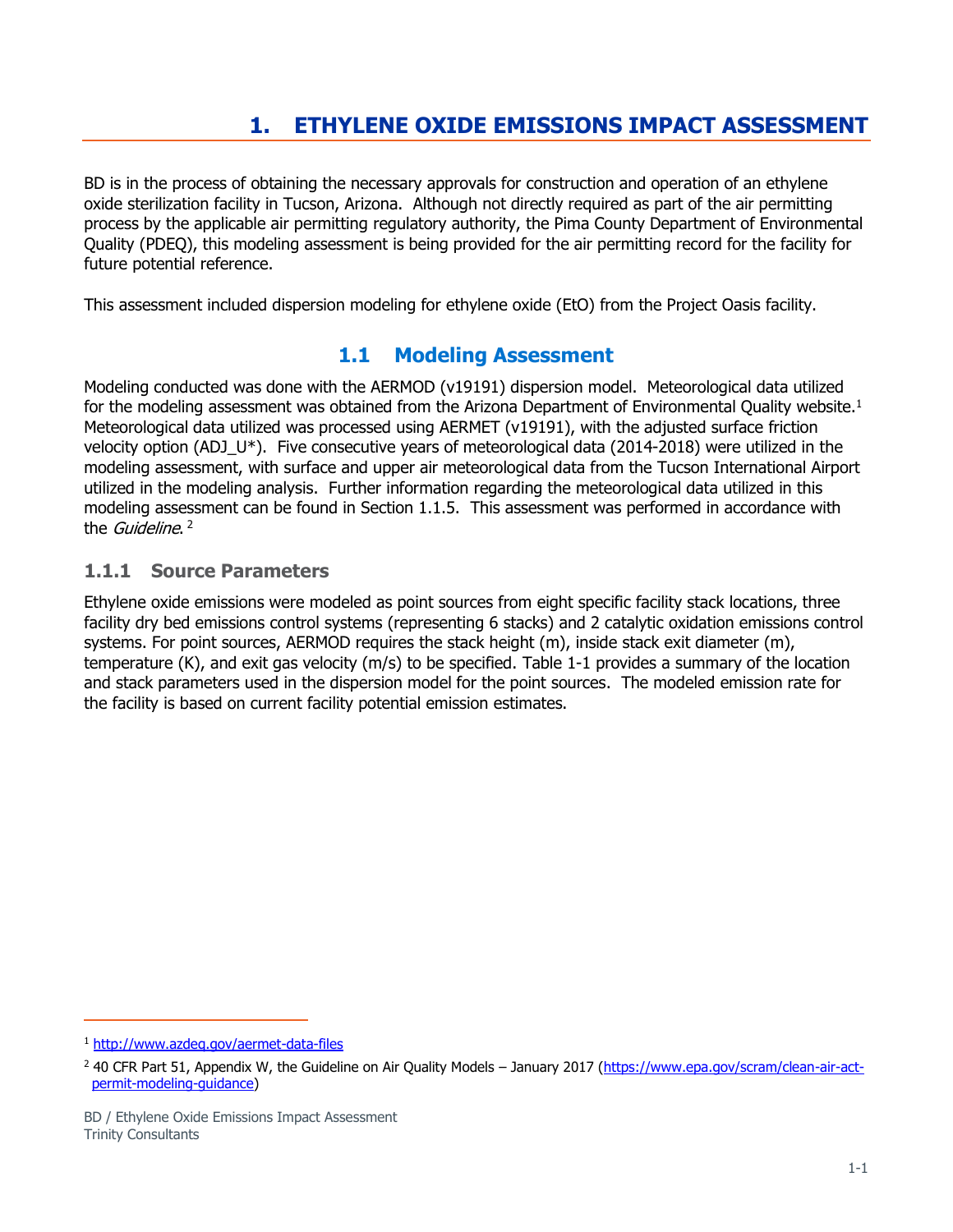## **1. ETHYLENE OXIDE EMISSIONS IMPACT ASSESSMENT**

<span id="page-2-0"></span>BD is in the process of obtaining the necessary approvals for construction and operation of an ethylene oxide sterilization facility in Tucson, Arizona. Although not directly required as part of the air permitting process by the applicable air permitting regulatory authority, the Pima County Department of Environmental Quality (PDEQ), this modeling assessment is being provided for the air permitting record for the facility for future potential reference.

<span id="page-2-1"></span>This assessment included dispersion modeling for ethylene oxide (EtO) from the Project Oasis facility.

## **1.1 Modeling Assessment**

Modeling conducted was done with the AERMOD (v19191) dispersion model. Meteorological data utilized for the modeling assessment was obtained from the Arizona Department of Environmental Quality website.<sup>1</sup> Meteorological data utilized was processed using AERMET (v19191), with the adjusted surface friction velocity option (ADJ  $U^*$ ). Five consecutive years of meteorological data (2014-2018) were utilized in the modeling assessment, with surface and upper air meteorological data from the Tucson International Airport utilized in the modeling analysis. Further information regarding the meteorological data utilized in this modeling assessment can be found in Section [1.1.5.](#page-6-1) This assessment was performed in accordance with the *Guideline*. <sup>2</sup>

#### <span id="page-2-2"></span>**1.1.1 Source Parameters**

Ethylene oxide emissions were modeled as point sources from eight specific facility stack locations, three facility dry bed emissions control systems (representing 6 stacks) and 2 catalytic oxidation emissions control systems. For point sources, AERMOD requires the stack height (m), inside stack exit diameter (m), temperature (K), and exit gas velocity (m/s) to be specified. [Table 1-1](#page-3-0) provides a summary of the location and stack parameters used in the dispersion model for the point sources. The modeled emission rate for the facility is based on current facility potential emission estimates.

<sup>1</sup> <http://www.azdeq.gov/aermet-data-files>

<sup>&</sup>lt;sup>2</sup> 40 CFR Part 51, Appendix W, the Guideline on Air Quality Models – January 2017 [\(https://www.epa.gov/scram/clean-air-act](https://www.epa.gov/scram/clean-air-act-permit-modeling-guidance)[permit-modeling-guidance\)](https://www.epa.gov/scram/clean-air-act-permit-modeling-guidance)

BD / Ethylene Oxide Emissions Impact Assessment Trinity Consultants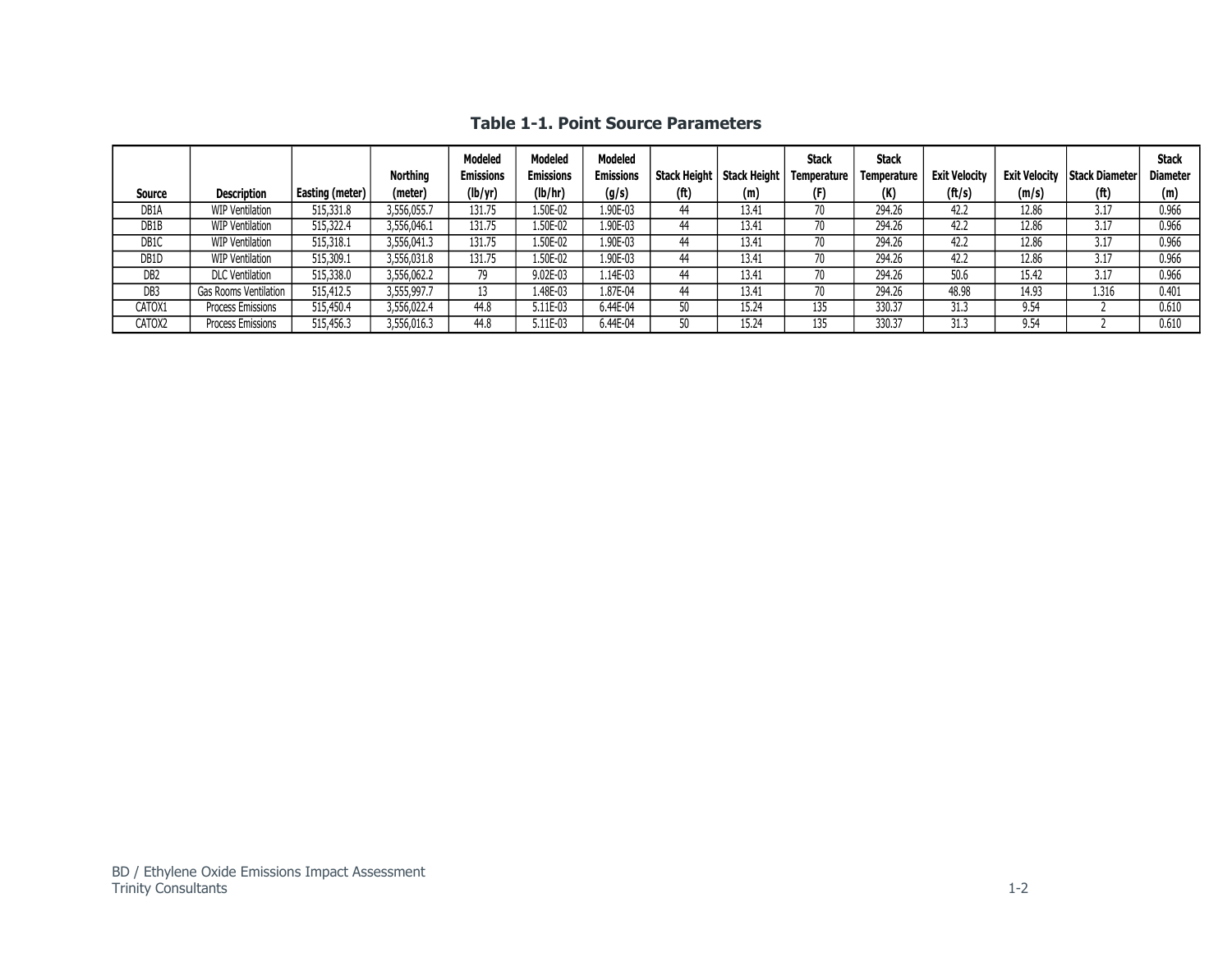<span id="page-3-0"></span>

| Source            | <b>Description</b>       | Easting (meter) | <b>Northing</b><br>(meter) | <b>Modeled</b><br><b>Emissions</b><br>(lb/yr) | <b>Modeled</b><br><b>Emissions</b><br>(lb/hr) | <b>Modeled</b><br><b>Emissions</b><br>(g/s) | Stack Height<br>(f <sup>t</sup> ) | <b>Stack Height</b><br>(m) | <b>Stack</b><br><b>Temperature</b><br>(F) | <b>Stack</b><br>Temperature<br>(K) | <b>Exit Velocity</b><br>$({\rm ft/s})$ | <b>Exit Velocity</b><br>(m/s) | <b>Stack Diameter</b><br>(f <sup>t</sup> ) | <b>Stack</b><br><b>Diameter</b><br>(m) |
|-------------------|--------------------------|-----------------|----------------------------|-----------------------------------------------|-----------------------------------------------|---------------------------------------------|-----------------------------------|----------------------------|-------------------------------------------|------------------------------------|----------------------------------------|-------------------------------|--------------------------------------------|----------------------------------------|
| DB <sub>1</sub> A | <b>WIP Ventilation</b>   | 515,331.8       | 3,556,055.7                | 131.75                                        | 1.50E-02                                      | 1.90E-03                                    | 44                                | 13.41                      |                                           | 294.26                             | 42.2                                   | 12.86                         | 3.17                                       | 0.966                                  |
| DB1B              | <b>WIP Ventilation</b>   | 515,322.4       | 3,556,046.1                | 131.75                                        | 1.50E-02                                      | 1.90E-03                                    | 44                                | 13.41                      |                                           | 294.26                             | 42.2                                   | 12.86                         | 3.17                                       | 0.966                                  |
| DB1C              | WIP Ventilation          | 515,318.1       | 3,556,041.3                | 131.75                                        | 1.50E-02                                      | 1.90E-03                                    | 44                                | 13.41                      |                                           | 294.26                             | 42.2                                   | 12.86                         | 3.17                                       | 0.966                                  |
| DB <sub>1</sub> D | <b>WIP Ventilation</b>   | 515,309.1       | 3,556,031.8                | 131.75                                        | 1.50E-02                                      | 1.90E-03                                    | 44                                | 13.41                      |                                           | 294.26                             | 42.2                                   | 12.86                         | 3.17                                       | 0.966                                  |
| DB <sub>2</sub>   | <b>DLC</b> Ventilation   | 515,338.0       | 3,556,062.2                | 79                                            | 9.02E-03                                      | 1.14E-03                                    | 44                                | 13.41                      |                                           | 294.26                             | 50.6                                   | 15.42                         | 3.17                                       | 0.966                                  |
| DB <sub>3</sub>   | Gas Rooms Ventilation    | 515,412.5       | 3,555,997.7                |                                               | 1.48E-03                                      | 1.87E-04                                    | 44                                | 13.41                      |                                           | 294.26                             | 48.98                                  | 14.93                         | 1.316                                      | 0.401                                  |
| CATOX1            | Process Emissions        | 515,450.4       | 3,556,022.4                | 44.8                                          | 5.11E-03                                      | 6.44E-04                                    | 50                                | 15.24                      | 135                                       | 330.37                             | 31.3                                   | 9.54                          |                                            | 0.610                                  |
| CATOX2            | <b>Process Emissions</b> | 515,456.3       | 3,556,016.3                | 44.8                                          | 5.11E-03                                      | 6.44E-04                                    | 50                                | 15.24                      | 135                                       | 330.37                             | 31.3                                   | 9.54                          |                                            | 0.610                                  |

**Table 1-1. Point Source Parameters**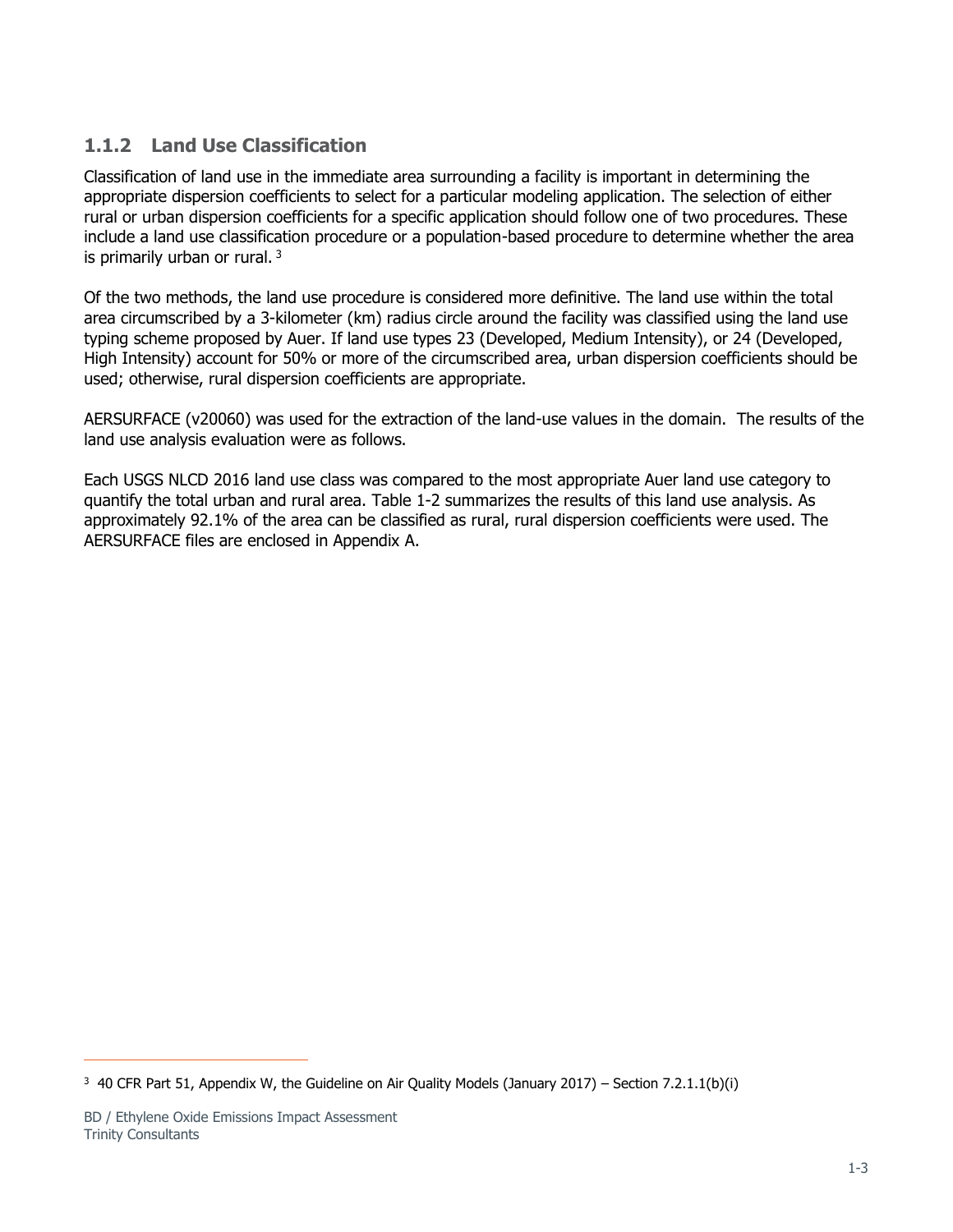## <span id="page-4-0"></span>**1.1.2 Land Use Classification**

Classification of land use in the immediate area surrounding a facility is important in determining the appropriate dispersion coefficients to select for a particular modeling application. The selection of either rural or urban dispersion coefficients for a specific application should follow one of two procedures. These include a land use classification procedure or a population-based procedure to determine whether the area is primarily urban or rural.<sup>3</sup>

Of the two methods, the land use procedure is considered more definitive. The land use within the total area circumscribed by a 3-kilometer (km) radius circle around the facility was classified using the land use typing scheme proposed by Auer. If land use types 23 (Developed, Medium Intensity), or 24 (Developed, High Intensity) account for 50% or more of the circumscribed area, urban dispersion coefficients should be used; otherwise, rural dispersion coefficients are appropriate.

AERSURFACE (v20060) was used for the extraction of the land-use values in the domain. The results of the land use analysis evaluation were as follows.

Each USGS NLCD 2016 land use class was compared to the most appropriate Auer land use category to quantify the total urban and rural area. [Table 1-2](#page-5-1) summarizes the results of this land use analysis. As approximately 92.1% of the area can be classified as rural, rural dispersion coefficients were used. The AERSURFACE files are enclosed in Appendix A.

<sup>&</sup>lt;sup>3</sup> 40 CFR Part 51, Appendix W, the Guideline on Air Quality Models (January 2017) – Section 7.2.1.1(b)(i)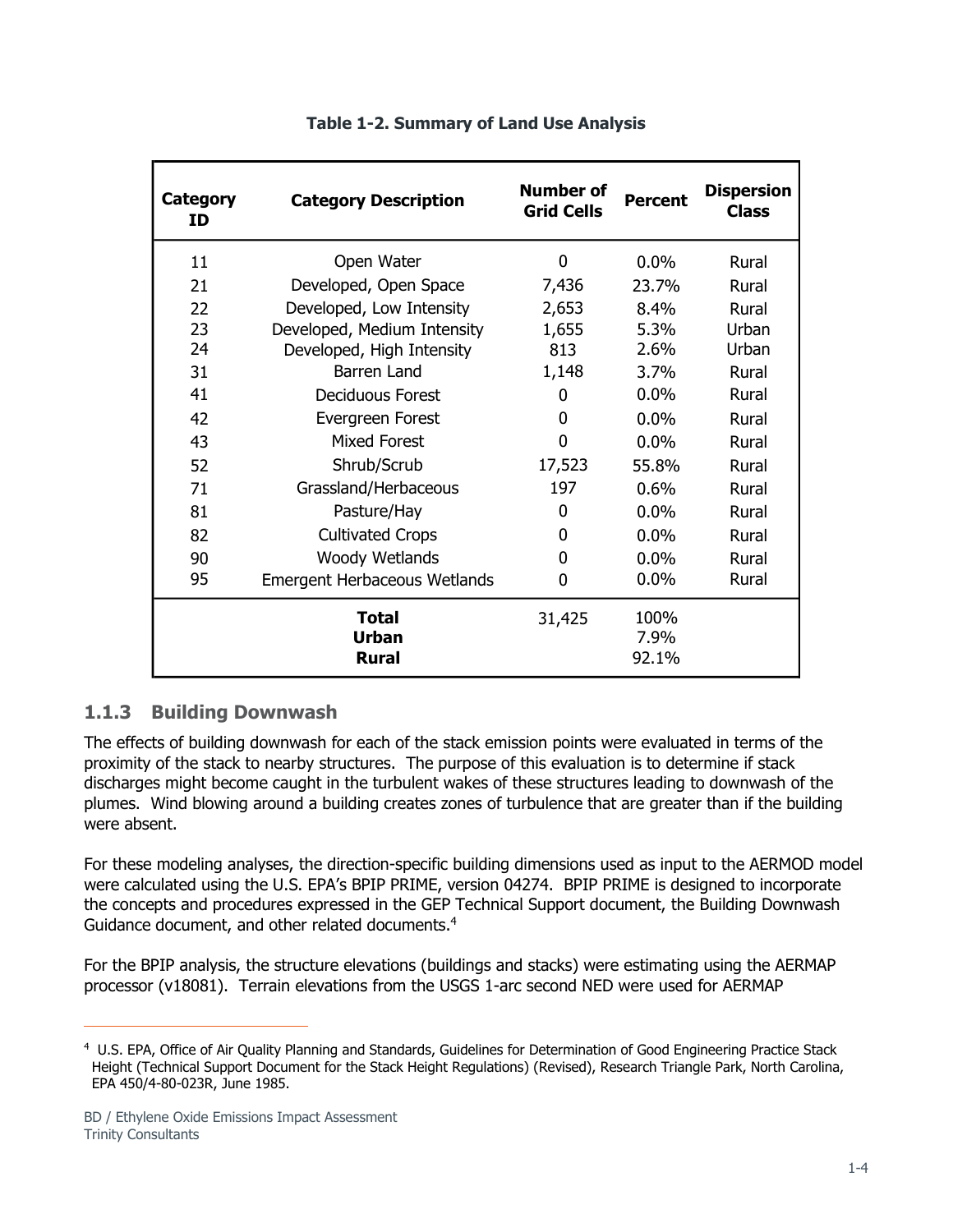<span id="page-5-1"></span>

| Category<br>ΙD | <b>Category Description</b>                  | <b>Number of</b><br><b>Grid Cells</b> | <b>Percent</b>        | <b>Dispersion</b><br><b>Class</b> |
|----------------|----------------------------------------------|---------------------------------------|-----------------------|-----------------------------------|
| 11             | Open Water                                   | $\mathbf 0$                           | $0.0\%$               | Rural                             |
| 21             | Developed, Open Space                        | 7,436                                 | 23.7%                 | Rural                             |
| 22             | Developed, Low Intensity                     | 2,653                                 | 8.4%                  | Rural                             |
| 23             | Developed, Medium Intensity                  | 1,655                                 | $5.3\%$               | Urban                             |
| 24             | Developed, High Intensity                    | 813                                   | 2.6%                  | Urban                             |
| 31             | Barren Land                                  | 1,148                                 | $3.7\%$               | Rural                             |
| 41             | <b>Deciduous Forest</b>                      | 0                                     | $0.0\%$               | Rural                             |
| 42             | Evergreen Forest                             | 0                                     | $0.0\%$               | Rural                             |
| 43             | <b>Mixed Forest</b>                          | 0                                     | $0.0\%$               | Rural                             |
| 52             | Shrub/Scrub                                  | 17,523                                | 55.8%                 | Rural                             |
| 71             | Grassland/Herbaceous                         | 197                                   | $0.6\%$               | Rural                             |
| 81             | Pasture/Hay                                  | 0                                     | $0.0\%$               | Rural                             |
| 82             | <b>Cultivated Crops</b>                      | 0                                     | $0.0\%$               | Rural                             |
| 90             | Woody Wetlands                               | 0                                     | $0.0\%$               | Rural                             |
| 95             | <b>Emergent Herbaceous Wetlands</b>          | 0                                     | $0.0\%$               | Rural                             |
|                | <b>Total</b><br><b>Urban</b><br><b>Rural</b> | 31,425                                | 100%<br>7.9%<br>92.1% |                                   |

#### **Table 1-2. Summary of Land Use Analysis**

## <span id="page-5-0"></span>**1.1.3 Building Downwash**

The effects of building downwash for each of the stack emission points were evaluated in terms of the proximity of the stack to nearby structures. The purpose of this evaluation is to determine if stack discharges might become caught in the turbulent wakes of these structures leading to downwash of the plumes. Wind blowing around a building creates zones of turbulence that are greater than if the building were absent.

For these modeling analyses, the direction-specific building dimensions used as input to the AERMOD model were calculated using the U.S. EPA's BPIP PRIME, version 04274. BPIP PRIME is designed to incorporate the concepts and procedures expressed in the GEP Technical Support document, the Building Downwash Guidance document, and other related documents.<sup>4</sup>

For the BPIP analysis, the structure elevations (buildings and stacks) were estimating using the AERMAP processor (v18081). Terrain elevations from the USGS 1-arc second NED were used for AERMAP

<sup>4</sup> U.S. EPA, Office of Air Quality Planning and Standards, Guidelines for Determination of Good Engineering Practice Stack Height (Technical Support Document for the Stack Height Regulations) (Revised), Research Triangle Park, North Carolina, EPA 450/4-80-023R, June 1985.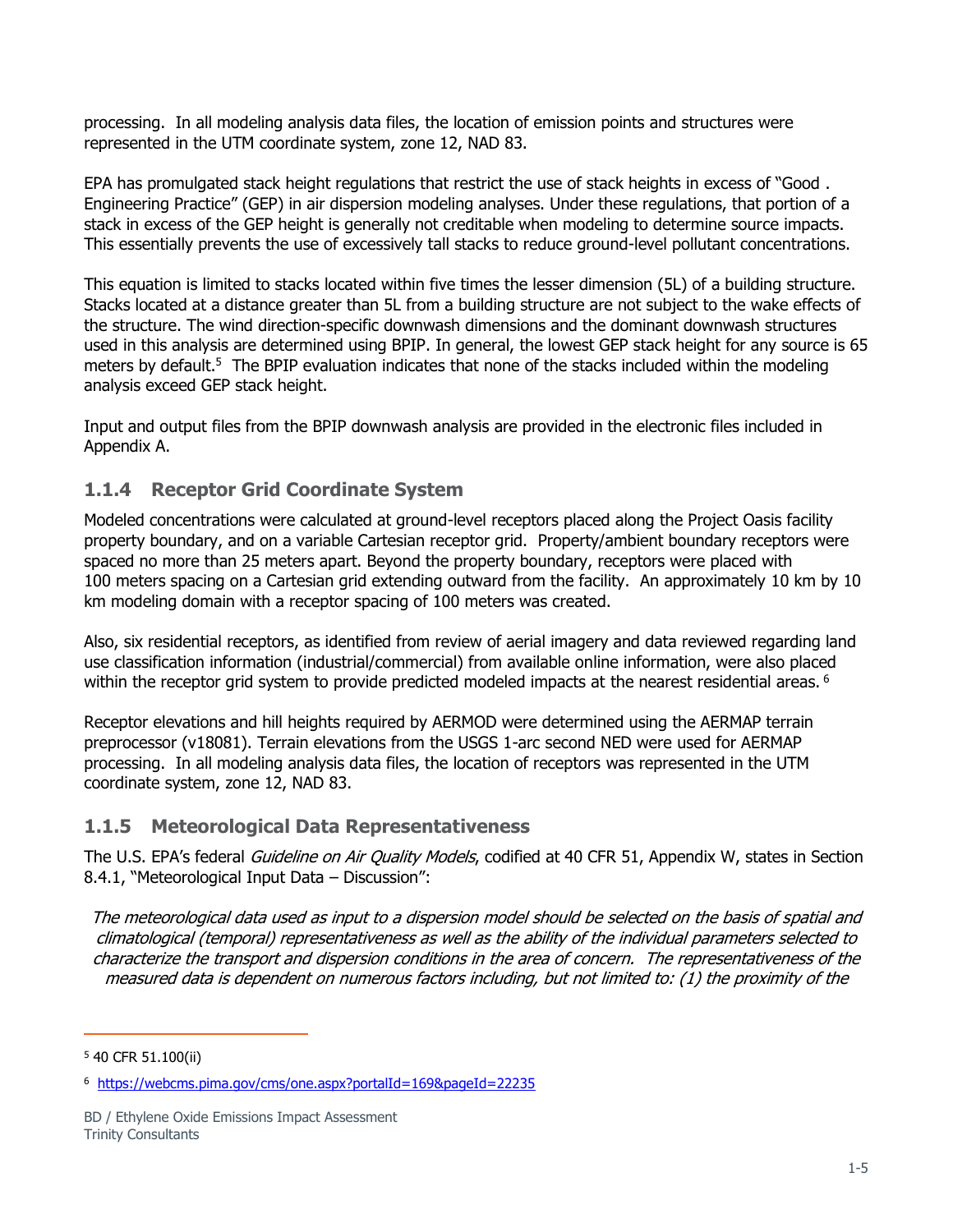processing. In all modeling analysis data files, the location of emission points and structures were represented in the UTM coordinate system, zone 12, NAD 83.

EPA has promulgated stack height regulations that restrict the use of stack heights in excess of "Good . Engineering Practice" (GEP) in air dispersion modeling analyses. Under these regulations, that portion of a stack in excess of the GEP height is generally not creditable when modeling to determine source impacts. This essentially prevents the use of excessively tall stacks to reduce ground-level pollutant concentrations.

This equation is limited to stacks located within five times the lesser dimension (5L) of a building structure. Stacks located at a distance greater than 5L from a building structure are not subject to the wake effects of the structure. The wind direction-specific downwash dimensions and the dominant downwash structures used in this analysis are determined using BPIP. In general, the lowest GEP stack height for any source is 65 meters by default.<sup>5</sup> The BPIP evaluation indicates that none of the stacks included within the modeling analysis exceed GEP stack height.

Input and output files from the BPIP downwash analysis are provided in the electronic files included in Appendix A.

## <span id="page-6-0"></span>**1.1.4 Receptor Grid Coordinate System**

Modeled concentrations were calculated at ground-level receptors placed along the Project Oasis facility property boundary, and on a variable Cartesian receptor grid. Property/ambient boundary receptors were spaced no more than 25 meters apart. Beyond the property boundary, receptors were placed with 100 meters spacing on a Cartesian grid extending outward from the facility. An approximately 10 km by 10 km modeling domain with a receptor spacing of 100 meters was created.

Also, six residential receptors, as identified from review of aerial imagery and data reviewed regarding land use classification information (industrial/commercial) from available online information, were also placed within the receptor grid system to provide predicted modeled impacts at the nearest residential areas. <sup>6</sup>

Receptor elevations and hill heights required by AERMOD were determined using the AERMAP terrain preprocessor (v18081). Terrain elevations from the USGS 1-arc second NED were used for AERMAP processing. In all modeling analysis data files, the location of receptors was represented in the UTM coordinate system, zone 12, NAD 83.

## <span id="page-6-1"></span>**1.1.5 Meteorological Data Representativeness**

The U.S. EPA's federal *Guideline on Air Quality Models*, codified at 40 CFR 51, Appendix W, states in Section 8.4.1, "Meteorological Input Data – Discussion":

The meteorological data used as input to a dispersion model should be selected on the basis of spatial and climatological (temporal) representativeness as well as the ability of the individual parameters selected to characterize the transport and dispersion conditions in the area of concern. The representativeness of the measured data is dependent on numerous factors including, but not limited to: (1) the proximity of the

<sup>5</sup> 40 CFR 51.100(ii)

<sup>6</sup> <https://webcms.pima.gov/cms/one.aspx?portalId=169&pageId=22235>

BD / Ethylene Oxide Emissions Impact Assessment Trinity Consultants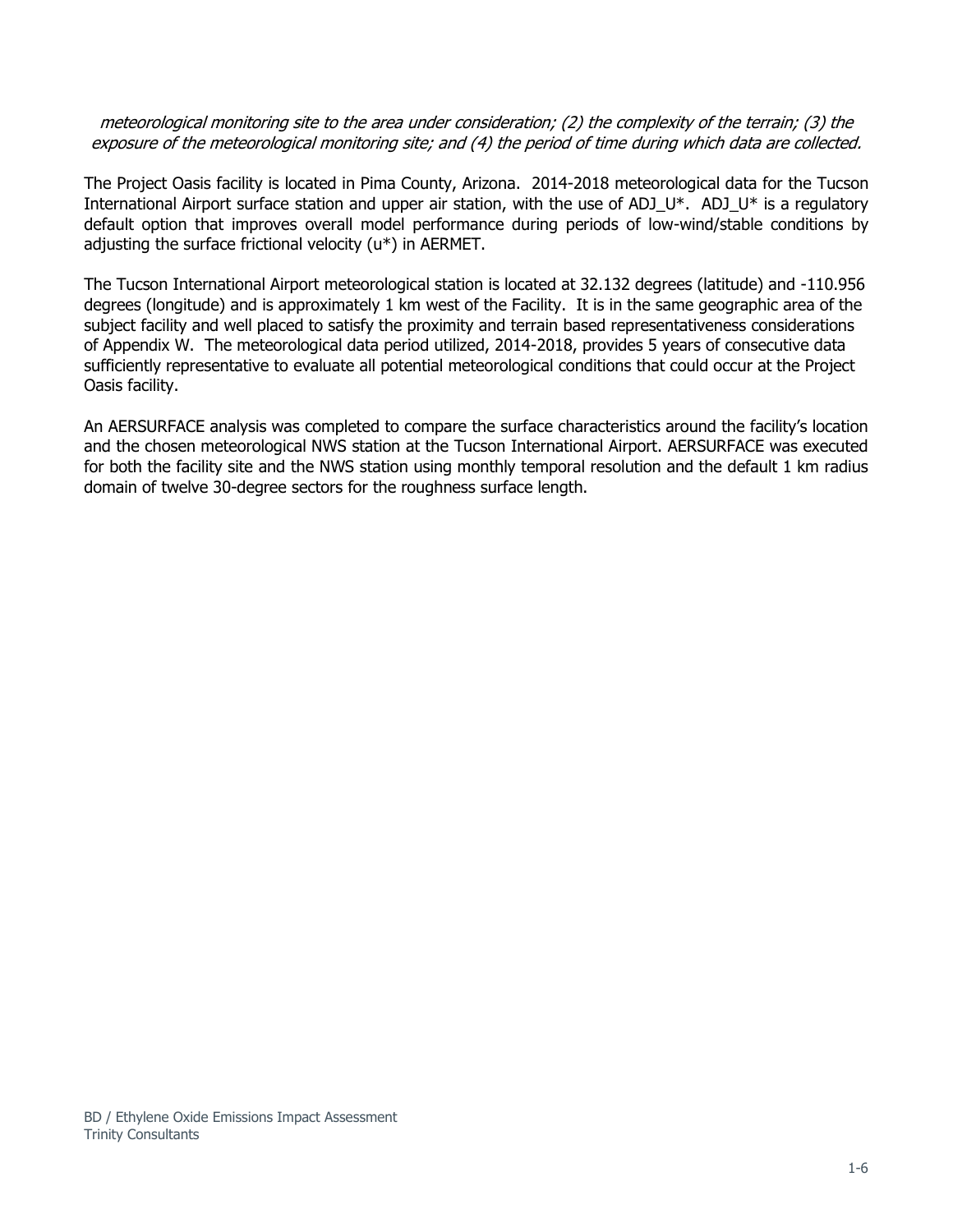#### meteorological monitoring site to the area under consideration; (2) the complexity of the terrain; (3) the exposure of the meteorological monitoring site; and (4) the period of time during which data are collected.

The Project Oasis facility is located in Pima County, Arizona. 2014-2018 meteorological data for the Tucson International Airport surface station and upper air station, with the use of ADJ\_U\*. ADJ\_U\* is a regulatory default option that improves overall model performance during periods of low-wind/stable conditions by adjusting the surface frictional velocity (u\*) in AERMET.

The Tucson International Airport meteorological station is located at 32.132 degrees (latitude) and -110.956 degrees (longitude) and is approximately 1 km west of the Facility. It is in the same geographic area of the subject facility and well placed to satisfy the proximity and terrain based representativeness considerations of Appendix W. The meteorological data period utilized, 2014-2018, provides 5 years of consecutive data sufficiently representative to evaluate all potential meteorological conditions that could occur at the Project Oasis facility.

An AERSURFACE analysis was completed to compare the surface characteristics around the facility's location and the chosen meteorological NWS station at the Tucson International Airport. AERSURFACE was executed for both the facility site and the NWS station using monthly temporal resolution and the default 1 km radius domain of twelve 30-degree sectors for the roughness surface length.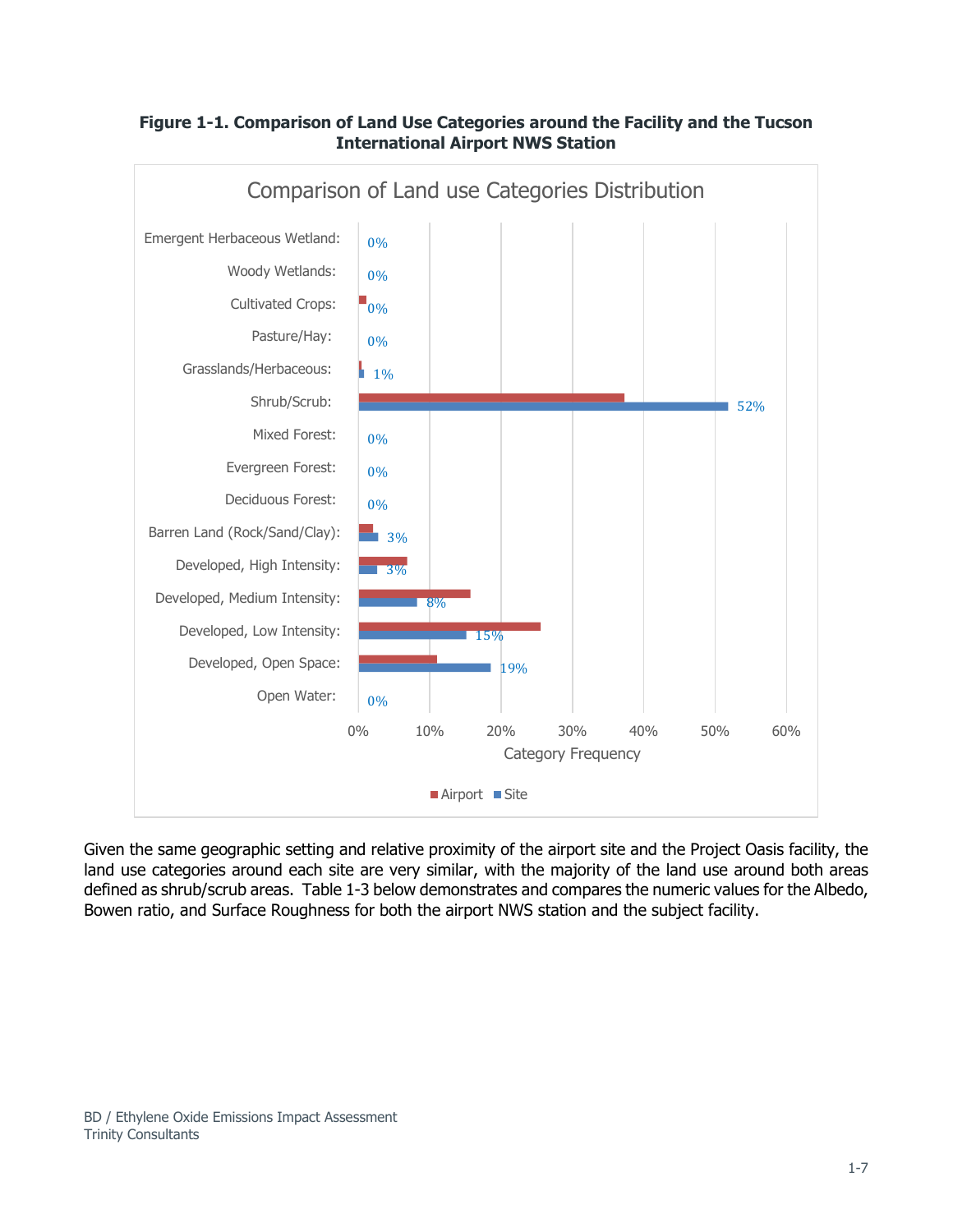

### **Figure 1-1. Comparison of Land Use Categories around the Facility and the Tucson International Airport NWS Station**

Given the same geographic setting and relative proximity of the airport site and the Project Oasis facility, the land use categories around each site are very similar, with the majority of the land use around both areas defined as shrub/scrub areas. [Table 1-3](#page-9-1) below demonstrates and compares the numeric values for the Albedo, Bowen ratio, and Surface Roughness for both the airport NWS station and the subject facility.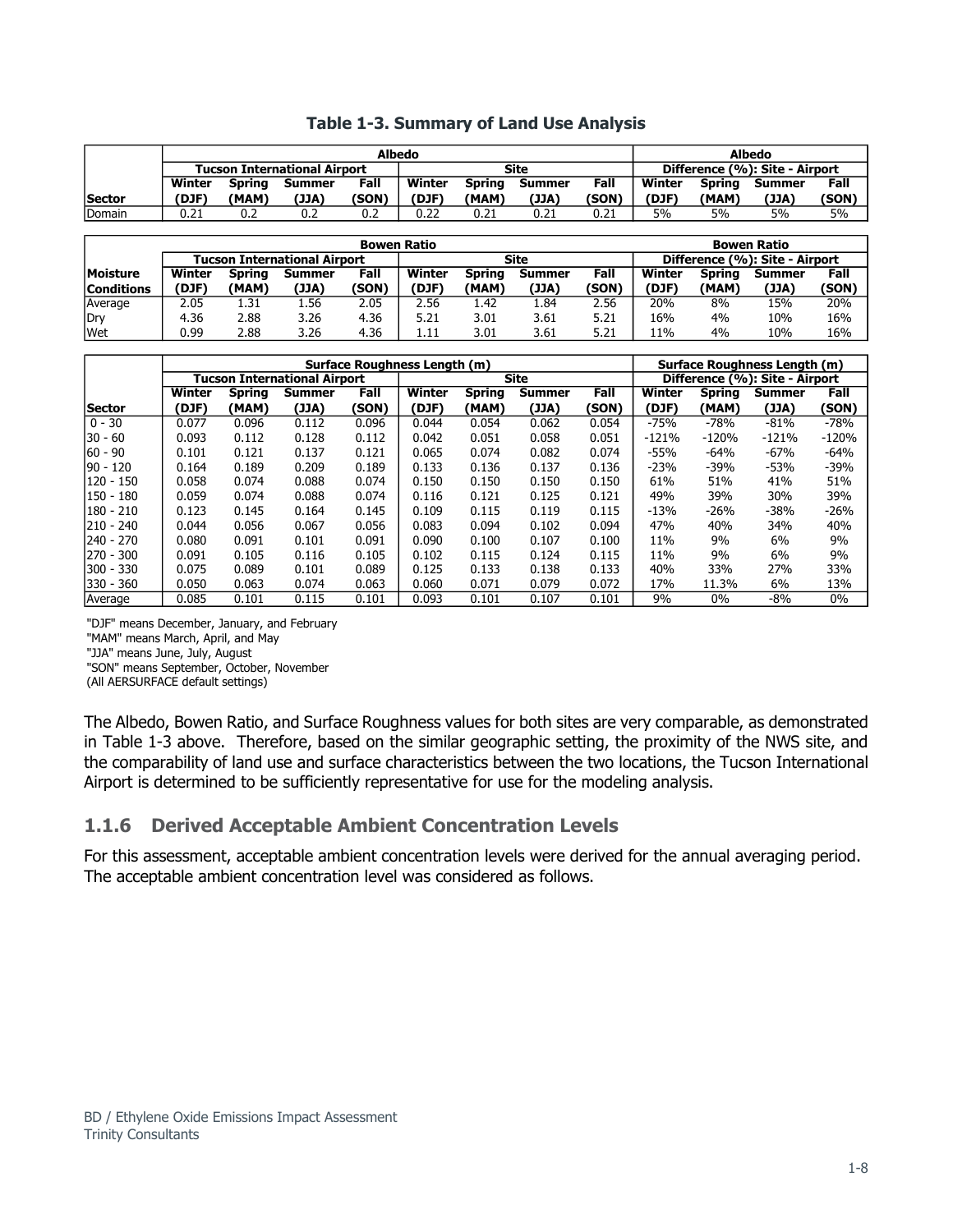<span id="page-9-1"></span>

|               |        |        |                                     | <b>Albedo</b> |             |        |        |       |                                |        |        |       |
|---------------|--------|--------|-------------------------------------|---------------|-------------|--------|--------|-------|--------------------------------|--------|--------|-------|
|               |        |        | <b>Tucson International Airport</b> |               | <b>Site</b> |        |        |       | Difference (%): Site - Airport |        |        |       |
|               | Winter | Spring | Summer                              | Fall          | Winter      | Spring | Summer | Fall  | Winter                         | Spring | Summer | Fall  |
| <b>Sector</b> | (DJF)  | (MAM)  | (JJA)                               | (SON)         | (DJF)       | (MAM)  | (JJA)  | (SON` | (DJF)                          | (MAM)  | (JJA)  | (SON) |
| Domain        | 0.21   | 0.2    | 0.2                                 | 0.2           | 0.22        | 0.21   | 0.21   | 0.21  | 5%                             | 5%     | 5%     | 5%    |

|                                               |       |       |                              |        | <b>Bowen Ratio</b> |       |        |        |                                |       |       |       |
|-----------------------------------------------|-------|-------|------------------------------|--------|--------------------|-------|--------|--------|--------------------------------|-------|-------|-------|
|                                               |       |       | Tucson International Airport |        |                    |       | Site   |        | Difference (%): Site - Airport |       |       |       |
| <b>Moisture</b><br>Winter<br>Spring<br>Summer |       | Fall  | Winter                       | Sprina | Summer             | Fall  | Winter | Spring | Summer                         | Fall  |       |       |
| <b>Conditions</b>                             | (DJF) | (MAM) | (JJA)                        | (SON)  | (DJF)              | (MAM) | (JJA)  | (SON)  | (DJF)                          | (MAM) | (JJA) | (SON) |
| Average                                       | 2.05  | 1.31  | 1.56                         | 2.05   | 2.56               | 1.42  | l.84   | 2.56   | 20%                            | 8%    | 15%   | 20%   |
| Dry                                           | 4.36  | 2.88  | 3.26                         | 4.36   | 5.21               | 3.01  | 3.61   | 5.21   | 16%                            | 4%    | 10%   | 16%   |
| Wet                                           | 0.99  | 2.88  | 3.26                         | 4.36   | 1.11               | 3.01  | 3.61   | 5.21   | 11%                            | 4%    | 10%   | 16%   |

|               |                                     |               |               |       | Surface Roughness Length (m) |               |               |       | Surface Roughness Length (m)   |               |               |         |
|---------------|-------------------------------------|---------------|---------------|-------|------------------------------|---------------|---------------|-------|--------------------------------|---------------|---------------|---------|
|               | <b>Tucson International Airport</b> |               |               |       |                              |               | <b>Site</b>   |       | Difference (%): Site - Airport |               |               |         |
|               | Winter                              | <b>Spring</b> | <b>Summer</b> | Fall  | <b>Winter</b>                | <b>Spring</b> | <b>Summer</b> | Fall  | Winter                         | <b>Spring</b> | <b>Summer</b> | Fall    |
| <b>Sector</b> | (DJF)                               | (MAM)         | (JJA)         | (SON) | (DJF)                        | (MAM)         | (JJA)         | (SON) | (DJF)                          | (MAM)         | (JJA)         | (SON)   |
| $0 - 30$      | 0.077                               | 0.096         | 0.112         | 0.096 | 0.044                        | 0.054         | 0.062         | 0.054 | $-75%$                         | $-78%$        | $-81%$        | $-78%$  |
| $30 - 60$     | 0.093                               | 0.112         | 0.128         | 0.112 | 0.042                        | 0.051         | 0.058         | 0.051 | $-121%$                        | $-120%$       | $-121%$       | $-120%$ |
| $60 - 90$     | 0.101                               | 0.121         | 0.137         | 0.121 | 0.065                        | 0.074         | 0.082         | 0.074 | -55%                           | $-64%$        | $-67%$        | $-64%$  |
| $90 - 120$    | 0.164                               | 0.189         | 0.209         | 0.189 | 0.133                        | 0.136         | 0.137         | 0.136 | $-23%$                         | $-39%$        | $-53%$        | $-39%$  |
| 120 - 150     | 0.058                               | 0.074         | 0.088         | 0.074 | 0.150                        | 0.150         | 0.150         | 0.150 | 61%                            | 51%           | 41%           | 51%     |
| 150 - 180     | 0.059                               | 0.074         | 0.088         | 0.074 | 0.116                        | 0.121         | 0.125         | 0.121 | 49%                            | 39%           | 30%           | 39%     |
| $180 - 210$   | 0.123                               | 0.145         | 0.164         | 0.145 | 0.109                        | 0.115         | 0.119         | 0.115 | $-13%$                         | $-26%$        | $-38%$        | $-26%$  |
| $210 - 240$   | 0.044                               | 0.056         | 0.067         | 0.056 | 0.083                        | 0.094         | 0.102         | 0.094 | 47%                            | 40%           | 34%           | 40%     |
| 240 - 270     | 0.080                               | 0.091         | 0.101         | 0.091 | 0.090                        | 0.100         | 0.107         | 0.100 | 11%                            | 9%            | 6%            | 9%      |
| 270 - 300     | 0.091                               | 0.105         | 0.116         | 0.105 | 0.102                        | 0.115         | 0.124         | 0.115 | 11%                            | 9%            | 6%            | 9%      |
| 300 - 330     | 0.075                               | 0.089         | 0.101         | 0.089 | 0.125                        | 0.133         | 0.138         | 0.133 | 40%                            | 33%           | 27%           | 33%     |
| 330 - 360     | 0.050                               | 0.063         | 0.074         | 0.063 | 0.060                        | 0.071         | 0.079         | 0.072 | 17%                            | 11.3%         | 6%            | 13%     |
| Average       | 0.085                               | 0.101         | 0.115         | 0.101 | 0.093                        | 0.101         | 0.107         | 0.101 | 9%                             | $0\%$         | $-8%$         | $0\%$   |

"DJF" means December, January, and February

"MAM" means March, April, and May

"JJA" means June, July, August

"SON" means September, October, November

(All AERSURFACE default settings)

The Albedo, Bowen Ratio, and Surface Roughness values for both sites are very comparable, as demonstrated in [Table 1-3](#page-9-1) above. Therefore, based on the similar geographic setting, the proximity of the NWS site, and the comparability of land use and surface characteristics between the two locations, the Tucson International Airport is determined to be sufficiently representative for use for the modeling analysis.

#### <span id="page-9-0"></span>**1.1.6 Derived Acceptable Ambient Concentration Levels**

For this assessment, acceptable ambient concentration levels were derived for the annual averaging period. The acceptable ambient concentration level was considered as follows.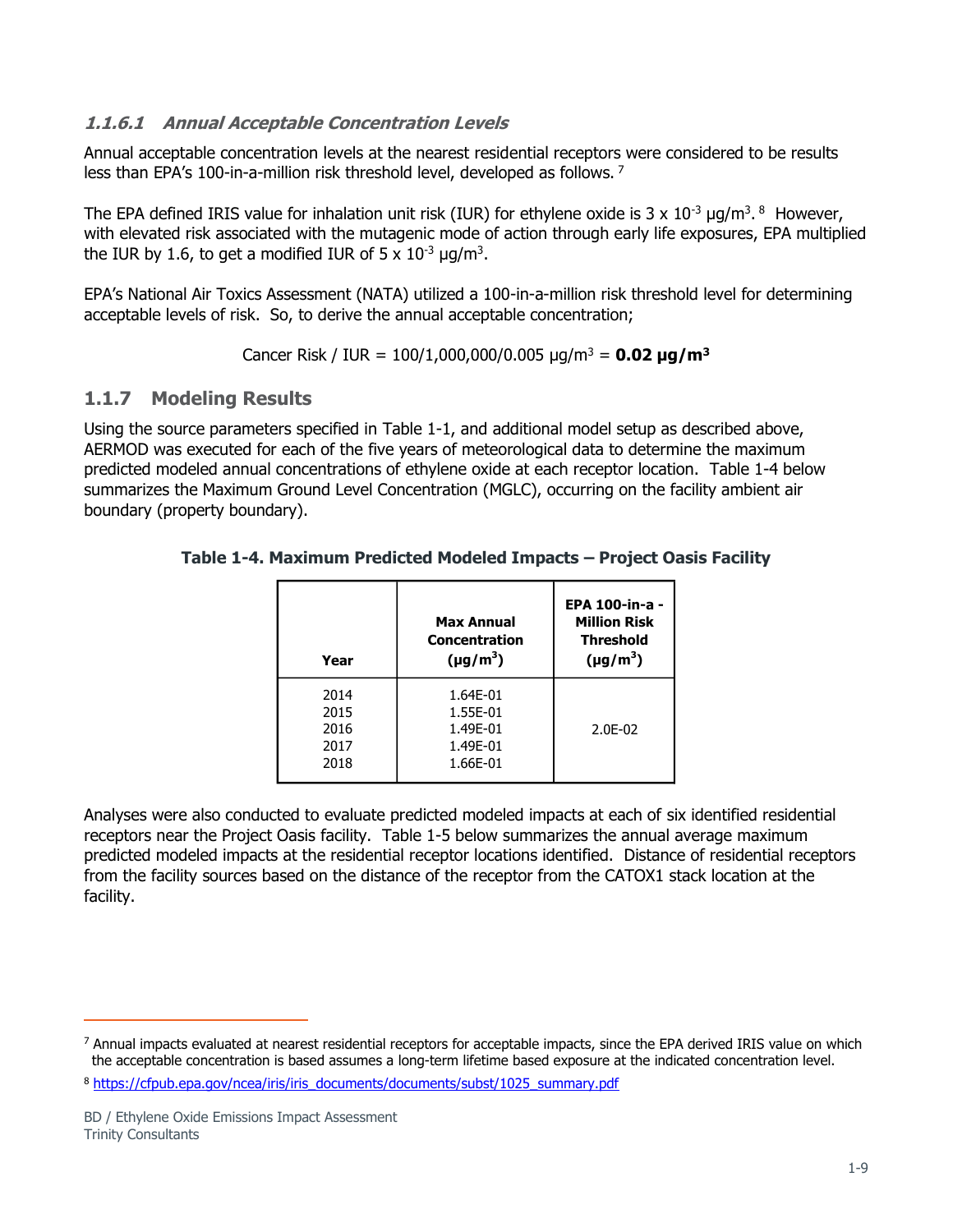#### **1.1.6.1 Annual Acceptable Concentration Levels**

Annual acceptable concentration levels at the nearest residential receptors were considered to be results less than EPA's 100-in-a-million risk threshold level, developed as follows.<sup>7</sup>

The EPA defined IRIS value for inhalation unit risk (IUR) for ethylene oxide is 3 x  $10^{-3}$  µg/m<sup>3</sup>. <sup>8</sup> However, with elevated risk associated with the mutagenic mode of action through early life exposures, EPA multiplied the IUR by 1.6, to get a modified IUR of  $5 \times 10^{-3}$  µg/m<sup>3</sup>.

EPA's National Air Toxics Assessment (NATA) utilized a 100-in-a-million risk threshold level for determining acceptable levels of risk. So, to derive the annual acceptable concentration;

Cancer Risk / IUR = 100/1,000,000/0.005 µg/m<sup>3</sup> = **0.02 µg/m<sup>3</sup>**

## <span id="page-10-0"></span>**1.1.7 Modeling Results**

<span id="page-10-1"></span>Using the source parameters specified in [Table 1-1,](#page-3-0) and additional model setup as described above, AERMOD was executed for each of the five years of meteorological data to determine the maximum predicted modeled annual concentrations of ethylene oxide at each receptor location. [Table 1-4](#page-10-1) below summarizes the Maximum Ground Level Concentration (MGLC), occurring on the facility ambient air boundary (property boundary).

| Year                                 | <b>Max Annual</b><br>Concentration<br>$(\mu g/m^3)$      | <b>EPA 100-in-a -</b><br><b>Million Risk</b><br><b>Threshold</b><br>$(\mu g/m^3)$ |
|--------------------------------------|----------------------------------------------------------|-----------------------------------------------------------------------------------|
| 2014<br>2015<br>2016<br>2017<br>2018 | 1.64F-01<br>1.55E-01<br>1.49E-01<br>1.49E-01<br>1.66E-01 | $2.0E-02$                                                                         |

#### **Table 1-4. Maximum Predicted Modeled Impacts – Project Oasis Facility**

Analyses were also conducted to evaluate predicted modeled impacts at each of six identified residential receptors near the Project Oasis facility. [Table 1-5](#page-11-0) below summarizes the annual average maximum predicted modeled impacts at the residential receptor locations identified. Distance of residential receptors from the facility sources based on the distance of the receptor from the CATOX1 stack location at the facility.

 $7$  Annual impacts evaluated at nearest residential receptors for acceptable impacts, since the EPA derived IRIS value on which the acceptable concentration is based assumes a long-term lifetime based exposure at the indicated concentration level.

<sup>8</sup> [https://cfpub.epa.gov/ncea/iris/iris\\_documents/documents/subst/1025\\_summary.pdf](https://cfpub.epa.gov/ncea/iris/iris_documents/documents/subst/1025_summary.pdf)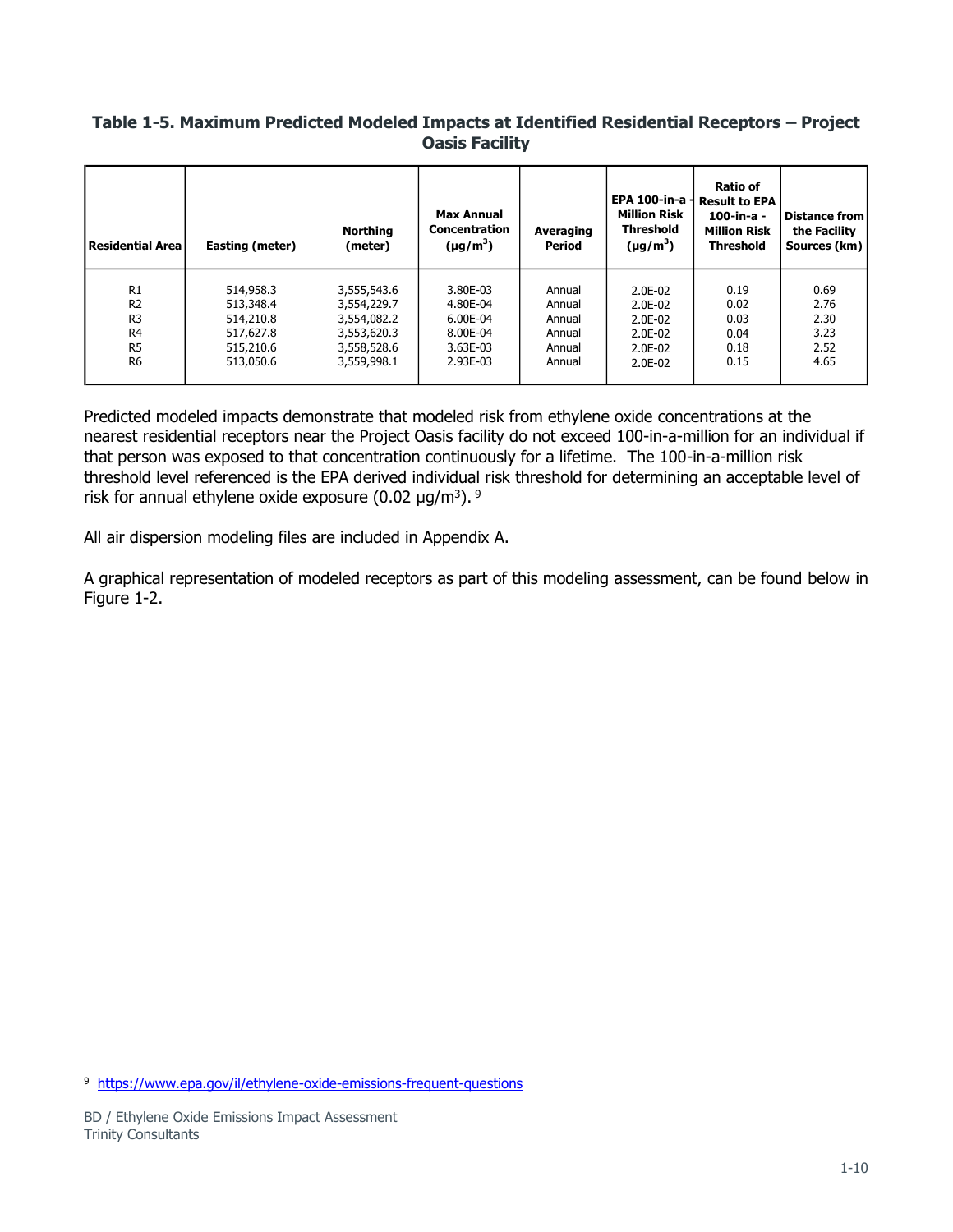#### <span id="page-11-0"></span>**Table 1-5. Maximum Predicted Modeled Impacts at Identified Residential Receptors – Project Oasis Facility**

| Residential Area                 | Easting (meter)        | <b>Northing</b><br>(meter) | <b>Max Annual</b><br><b>Concentration</b><br>$(\mu g/m^3)$ | Averaging<br>Period | EPA 100-in-a-<br><b>Million Risk</b><br><b>Threshold</b><br>$(\mu g/m^3)$ | Ratio of<br><b>Result to EPA</b><br>100-in-a -<br><b>Million Risk</b><br><b>Threshold</b> | Distance from<br>the Facility<br>Sources (km) |
|----------------------------------|------------------------|----------------------------|------------------------------------------------------------|---------------------|---------------------------------------------------------------------------|-------------------------------------------------------------------------------------------|-----------------------------------------------|
| R1                               | 514,958.3              | 3,555,543.6                | 3.80E-03                                                   | Annual              | 2.0E-02                                                                   | 0.19                                                                                      | 0.69                                          |
| R <sub>2</sub><br>R <sub>3</sub> | 513,348.4<br>514,210.8 | 3,554,229.7<br>3,554,082.2 | 4.80E-04<br>6.00E-04                                       | Annual<br>Annual    | 2.0E-02<br>2.0E-02                                                        | 0.02<br>0.03                                                                              | 2.76<br>2.30                                  |
| R <sub>4</sub>                   | 517,627.8              | 3,553,620.3                | 8.00E-04                                                   | Annual              | 2.0E-02                                                                   | 0.04                                                                                      | 3.23                                          |
| R <sub>5</sub>                   | 515,210.6              | 3,558,528.6                | 3.63E-03                                                   | Annual              | 2.0E-02                                                                   | 0.18                                                                                      | 2.52                                          |
| R <sub>6</sub>                   | 513,050.6              | 3,559,998.1                | 2.93E-03                                                   | Annual              | $2.0E-02$                                                                 | 0.15                                                                                      | 4.65                                          |

Predicted modeled impacts demonstrate that modeled risk from ethylene oxide concentrations at the nearest residential receptors near the Project Oasis facility do not exceed 100-in-a-million for an individual if that person was exposed to that concentration continuously for a lifetime. The 100-in-a-million risk threshold level referenced is the EPA derived individual risk threshold for determining an acceptable level of risk for annual ethylene oxide exposure  $(0.02 \text{ µg/m}^3)$ .  $9$ 

All air dispersion modeling files are included in Appendix A.

A graphical representation of modeled receptors as part of this modeling assessment, can be found below in Figure 1-2.

<sup>&</sup>lt;sup>9</sup> <https://www.epa.gov/il/ethylene-oxide-emissions-frequent-questions>

BD / Ethylene Oxide Emissions Impact Assessment Trinity Consultants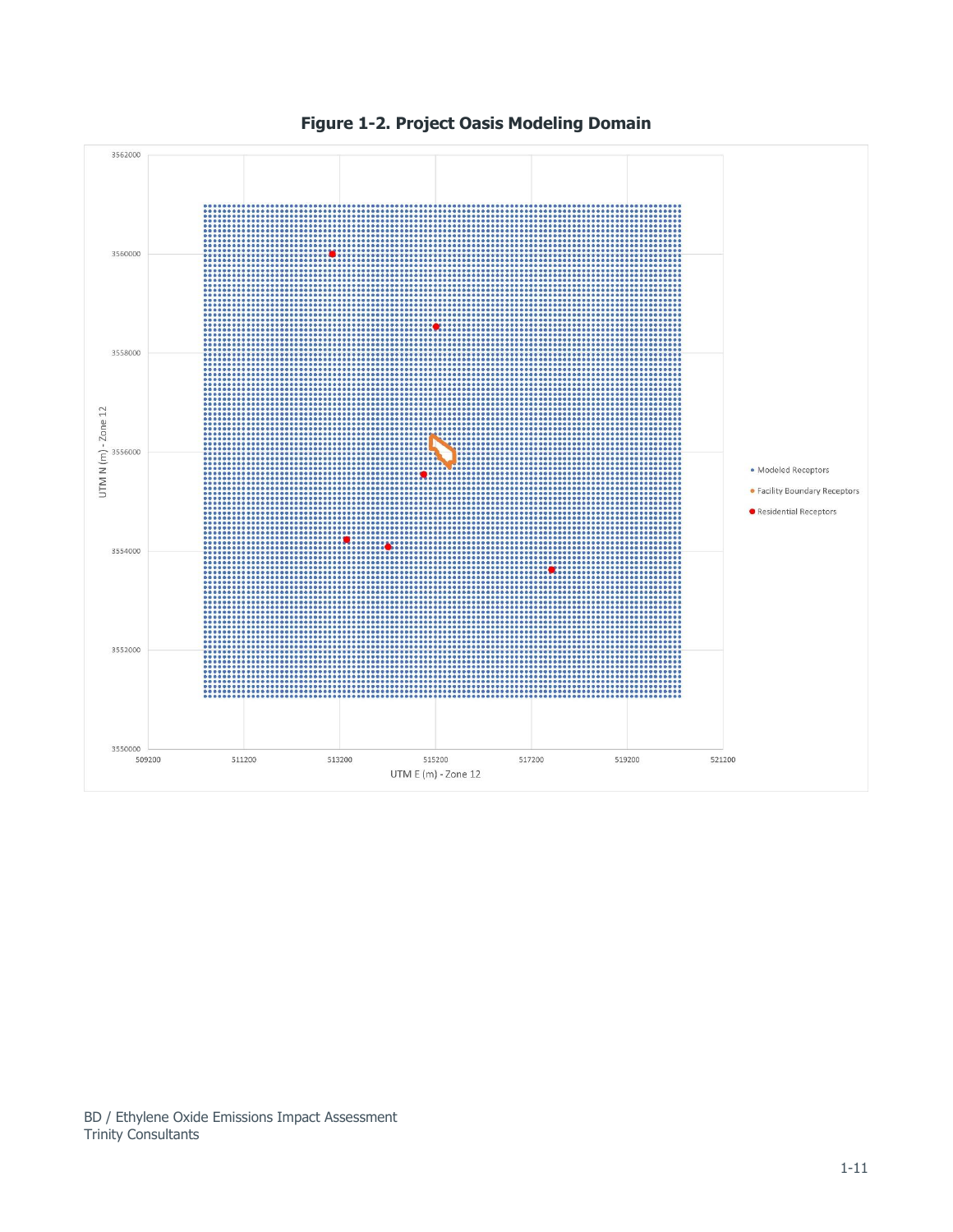

**Figure 1-2. Project Oasis Modeling Domain**